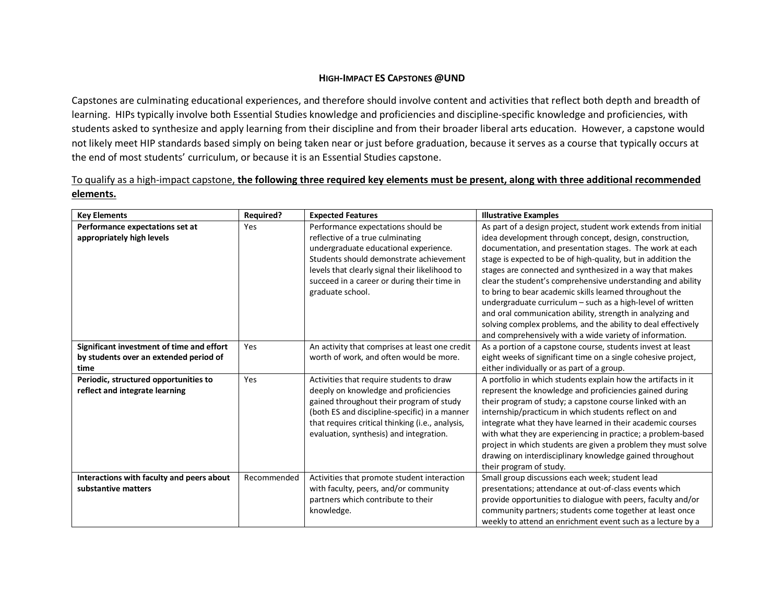## **HIGH-IMPACT ES CAPSTONES @UND**

Capstones are culminating educational experiences, and therefore should involve content and activities that reflect both depth and breadth of learning. HIPs typically involve both Essential Studies knowledge and proficiencies and discipline-specific knowledge and proficiencies, with students asked to synthesize and apply learning from their discipline and from their broader liberal arts education. However, a capstone would not likely meet HIP standards based simply on being taken near or just before graduation, because it serves as a course that typically occurs at the end of most students' curriculum, or because it is an Essential Studies capstone.

## To qualify as a high-impact capstone, **the following three required key elements must be present, along with three additional recommended elements.**

| <b>Key Elements</b>                       | <b>Required?</b> | <b>Expected Features</b>                         | <b>Illustrative Examples</b>                                   |
|-------------------------------------------|------------------|--------------------------------------------------|----------------------------------------------------------------|
| Performance expectations set at           | Yes              | Performance expectations should be               | As part of a design project, student work extends from initial |
| appropriately high levels                 |                  | reflective of a true culminating                 | idea development through concept, design, construction,        |
|                                           |                  | undergraduate educational experience.            | documentation, and presentation stages. The work at each       |
|                                           |                  | Students should demonstrate achievement          | stage is expected to be of high-quality, but in addition the   |
|                                           |                  | levels that clearly signal their likelihood to   | stages are connected and synthesized in a way that makes       |
|                                           |                  | succeed in a career or during their time in      | clear the student's comprehensive understanding and ability    |
|                                           |                  | graduate school.                                 | to bring to bear academic skills learned throughout the        |
|                                           |                  |                                                  | undergraduate curriculum - such as a high-level of written     |
|                                           |                  |                                                  | and oral communication ability, strength in analyzing and      |
|                                           |                  |                                                  | solving complex problems, and the ability to deal effectively  |
|                                           |                  |                                                  | and comprehensively with a wide variety of information.        |
| Significant investment of time and effort | Yes              | An activity that comprises at least one credit   | As a portion of a capstone course, students invest at least    |
| by students over an extended period of    |                  | worth of work, and often would be more.          | eight weeks of significant time on a single cohesive project,  |
| time                                      |                  |                                                  | either individually or as part of a group.                     |
| Periodic, structured opportunities to     | Yes              | Activities that require students to draw         | A portfolio in which students explain how the artifacts in it  |
| reflect and integrate learning            |                  | deeply on knowledge and proficiencies            | represent the knowledge and proficiencies gained during        |
|                                           |                  | gained throughout their program of study         | their program of study; a capstone course linked with an       |
|                                           |                  | (both ES and discipline-specific) in a manner    | internship/practicum in which students reflect on and          |
|                                           |                  | that requires critical thinking (i.e., analysis, | integrate what they have learned in their academic courses     |
|                                           |                  | evaluation, synthesis) and integration.          | with what they are experiencing in practice; a problem-based   |
|                                           |                  |                                                  | project in which students are given a problem they must solve  |
|                                           |                  |                                                  | drawing on interdisciplinary knowledge gained throughout       |
|                                           |                  |                                                  | their program of study.                                        |
| Interactions with faculty and peers about | Recommended      | Activities that promote student interaction      | Small group discussions each week; student lead                |
| substantive matters                       |                  | with faculty, peers, and/or community            | presentations; attendance at out-of-class events which         |
|                                           |                  | partners which contribute to their               | provide opportunities to dialogue with peers, faculty and/or   |
|                                           |                  | knowledge.                                       | community partners; students come together at least once       |
|                                           |                  |                                                  | weekly to attend an enrichment event such as a lecture by a    |